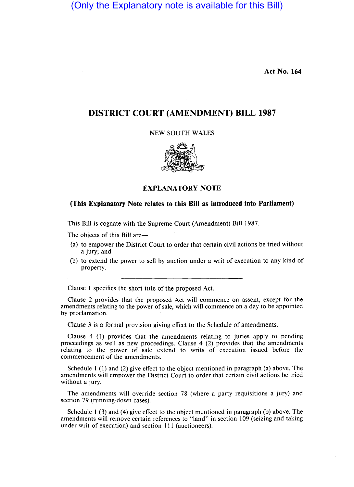(Only the Explanatory note is available for this Bill)

**Act No. 164** 

## **DISTRICT COURT (AMENDMENT) BILL 1987**

NEW SOUTH WALES



## **EXPLANATORY NOTE**

## **(This Explanatory Note relates to this Bill as introduced into Parliament)**

This Bill is cognate with the Supreme Court (Amendment) Bill 1987.

The objects of this Bill are—

- (a) to empower the District Court to order that certain civil actions be tried without a jury; and
- (b) to extend the power to sell by auction under a writ of execution to any kind of property.

Clause I specifies the short title of the proposed Act.

Clause 2 provides that the proposed Act will commence on assent, except for the amendments relating to the power of sale, which will commence on a day to be appointed by proclamation.

Clause 3 is a formal provision giving effect to the Schedule of amendments.

Clause 4 (1) provides that the amendments relating to juries apply to pending proceedings as well as new proceedings. Clause 4 (2) provides that the amendments relating to the power of sale extend to writs of execution issued before the commencement of the amendments.

Schedule I (1) and (2) give effect to the object mentioned in paragraph (a) above. The amendments will empower the District Court to order that certain civil actions be tried without a jury.

The amendments will override section 78 (where a party requisitions a jury) and section 79 (running-down cases).

Schedule 1 (3) and (4) give effect to the object mentioned in paragraph (b) above. The amendments will remove certain references to "land" in section 109 (seizing and taking under writ of execution) and section III (auctioneers).